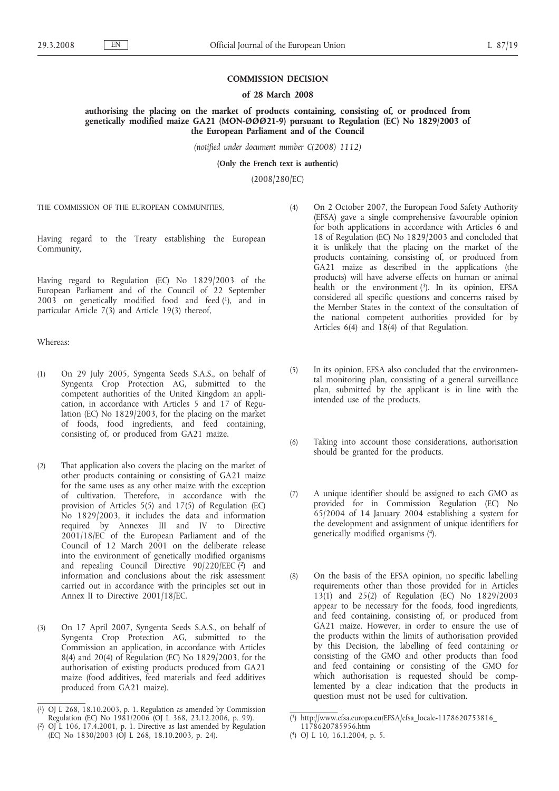## **COMMISSION DECISION**

## **of 28 March 2008**

**authorising the placing on the market of products containing, consisting of, or produced from genetically modified maize GA21 (MON-ØØØ21-9) pursuant to Regulation (EC) No 1829/2003 of the European Parliament and of the Council**

*(notified under document number C(2008) 1112)*

**(Only the French text is authentic)**

(2008/280/EC)

THE COMMISSION OF THE EUROPEAN COMMUNITIES,

Having regard to the Treaty establishing the European Community,

Having regard to Regulation (EC) No 1829/2003 of the European Parliament and of the Council of 22 September 2003 on genetically modified food and feed (1), and in particular Article 7(3) and Article 19(3) thereof,

Whereas:

- (1) On 29 July 2005, Syngenta Seeds S.A.S., on behalf of Syngenta Crop Protection AG, submitted to the competent authorities of the United Kingdom an application, in accordance with Articles 5 and 17 of Regulation (EC) No 1829/2003, for the placing on the market of foods, food ingredients, and feed containing, consisting of, or produced from GA21 maize.
- (2) That application also covers the placing on the market of other products containing or consisting of GA21 maize for the same uses as any other maize with the exception of cultivation. Therefore, in accordance with the provision of Articles 5(5) and 17(5) of Regulation (EC) No 1829/2003, it includes the data and information required by Annexes III and IV to Directive 2001/18/EC of the European Parliament and of the Council of 12 March 2001 on the deliberate release into the environment of genetically modified organisms and repealing Council Directive  $90/220/EEC$  and information and conclusions about the risk assessment carried out in accordance with the principles set out in Annex II to Directive 2001/18/EC.
- (3) On 17 April 2007, Syngenta Seeds S.A.S., on behalf of Syngenta Crop Protection AG, submitted to the Commission an application, in accordance with Articles 8(4) and 20(4) of Regulation (EC) No 1829/2003, for the authorisation of existing products produced from GA21 maize (food additives, feed materials and feed additives produced from GA21 maize).
- (4) On 2 October 2007, the European Food Safety Authority (EFSA) gave a single comprehensive favourable opinion for both applications in accordance with Articles 6 and 18 of Regulation (EC) No 1829/2003 and concluded that it is unlikely that the placing on the market of the products containing, consisting of, or produced from GA21 maize as described in the applications (the products) will have adverse effects on human or animal health or the environment  $(3)$ . In its opinion, EFSA considered all specific questions and concerns raised by the Member States in the context of the consultation of the national competent authorities provided for by Articles 6(4) and 18(4) of that Regulation.
- (5) In its opinion, EFSA also concluded that the environmental monitoring plan, consisting of a general surveillance plan, submitted by the applicant is in line with the intended use of the products.
- (6) Taking into account those considerations, authorisation should be granted for the products.
- (7) A unique identifier should be assigned to each GMO as provided for in Commission Regulation (EC) No 65/2004 of 14 January 2004 establishing a system for the development and assignment of unique identifiers for genetically modified organisms (4).
- (8) On the basis of the EFSA opinion, no specific labelling requirements other than those provided for in Articles 13(1) and 25(2) of Regulation (EC) No 1829/2003 appear to be necessary for the foods, food ingredients, and feed containing, consisting of, or produced from GA21 maize. However, in order to ensure the use of the products within the limits of authorisation provided by this Decision, the labelling of feed containing or consisting of the GMO and other products than food and feed containing or consisting of the GMO for which authorisation is requested should be complemented by a clear indication that the products in question must not be used for cultivation.

<sup>(</sup> 1) OJ L 268, 18.10.2003, p. 1. Regulation as amended by Commission Regulation (EC) No 1981/2006 (OJ L 368, 23.12.2006, p. 99).

<sup>(</sup> 2) OJ L 106, 17.4.2001, p. 1. Directive as last amended by Regulation (EC) No 1830/2003 (OJ L 268, 18.10.2003, p. 24).

<sup>(</sup> 3) http://www.efsa.europa.eu/EFSA/efsa\_locale-1178620753816\_

<sup>1178620785956.</sup>htm ( 4) OJ L 10, 16.1.2004, p. 5.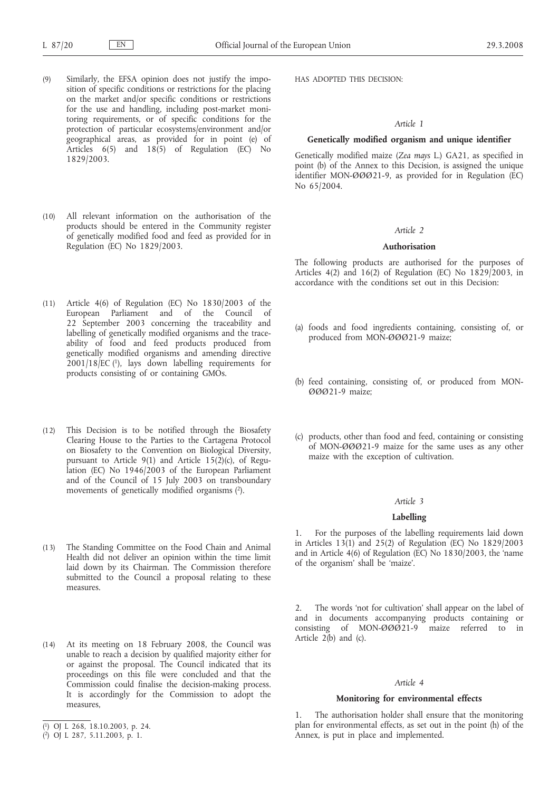- (9) Similarly, the EFSA opinion does not justify the imposition of specific conditions or restrictions for the placing on the market and/or specific conditions or restrictions for the use and handling, including post-market monitoring requirements, or of specific conditions for the protection of particular ecosystems/environment and/or geographical areas, as provided for in point (e) of Articles  $6(5)$  and  $18(5)$  of Regulation (EC) No 1829/2003.
- (10) All relevant information on the authorisation of the products should be entered in the Community register of genetically modified food and feed as provided for in Regulation (EC) No 1829/2003.
- (11) Article 4(6) of Regulation (EC) No 1830/2003 of the European Parliament and of the Council of 22 September 2003 concerning the traceability and labelling of genetically modified organisms and the traceability of food and feed products produced from genetically modified organisms and amending directive 2001/18/EC (1), lays down labelling requirements for products consisting of or containing GMOs.
- (12) This Decision is to be notified through the Biosafety Clearing House to the Parties to the Cartagena Protocol on Biosafety to the Convention on Biological Diversity, pursuant to Article 9(1) and Article 15(2)(c), of Regulation (EC) No 1946/2003 of the European Parliament and of the Council of 15 July 2003 on transboundary movements of genetically modified organisms  $(2)$ .
- (13) The Standing Committee on the Food Chain and Animal Health did not deliver an opinion within the time limit laid down by its Chairman. The Commission therefore submitted to the Council a proposal relating to these measures.
- (14) At its meeting on 18 February 2008, the Council was unable to reach a decision by qualified majority either for or against the proposal. The Council indicated that its proceedings on this file were concluded and that the Commission could finalise the decision-making process. It is accordingly for the Commission to adopt the measures,
- ( 1) OJ L 268, 18.10.2003, p. 24.

HAS ADOPTED THIS DECISION:

## *Article 1*

# **Genetically modified organism and unique identifier**

Genetically modified maize (*Zea mays* L.) GA21, as specified in point (b) of the Annex to this Decision, is assigned the unique identifier MON-ØØØ21-9, as provided for in Regulation (EC) No 65/2004.

## *Article 2*

### **Authorisation**

The following products are authorised for the purposes of Articles 4(2) and 16(2) of Regulation (EC) No  $1829/2003$ , in accordance with the conditions set out in this Decision:

- (a) foods and food ingredients containing, consisting of, or produced from MON-ØØØ21-9 maize;
- (b) feed containing, consisting of, or produced from MON-ØØØ21-9 maize;
- (c) products, other than food and feed, containing or consisting of MON-ØØØ21-9 maize for the same uses as any other maize with the exception of cultivation.

# *Article 3*

#### **Labelling**

1. For the purposes of the labelling requirements laid down in Articles  $13(1)$  and  $25(2)$  of Regulation (EC) No  $1829/2003$ and in Article 4(6) of Regulation (EC) No 1830/2003, the 'name of the organism' shall be 'maize'.

2. The words 'not for cultivation' shall appear on the label of and in documents accompanying products containing or consisting of MON-ØØØ21-9 maize referred to in Article  $2(b)$  and (c).

## *Article 4*

## **Monitoring for environmental effects**

1. The authorisation holder shall ensure that the monitoring plan for environmental effects, as set out in the point (h) of the Annex, is put in place and implemented.

<sup>(</sup> 2) OJ L 287, 5.11.2003, p. 1.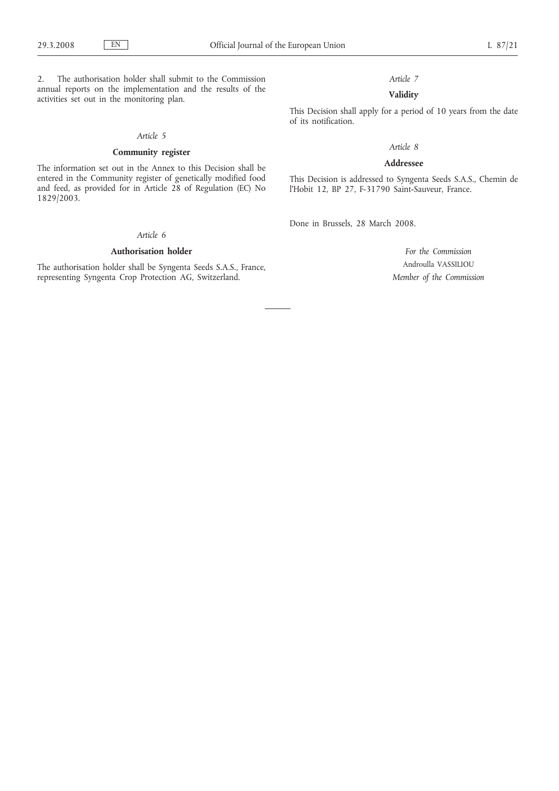2. The authorisation holder shall submit to the Commission annual reports on the implementation and the results of the activities set out in the monitoring plan.

## *Article 5*

## **Community register**

The information set out in the Annex to this Decision shall be entered in the Community register of genetically modified food and feed, as provided for in Article 28 of Regulation (EC) No 1829/2003.

# *Article 6*

## **Authorisation holder**

The authorisation holder shall be Syngenta Seeds S.A.S., France, representing Syngenta Crop Protection AG, Switzerland.

*Article 7*

# **Validity**

This Decision shall apply for a period of 10 years from the date of its notification.

## *Article 8*

## **Addressee**

This Decision is addressed to Syngenta Seeds S.A.S., Chemin de l'Hobit 12, BP 27, F-31790 Saint-Sauveur, France.

Done in Brussels, 28 March 2008.

*For the Commission* Androulla VASSILIOU *Member of the Commission*